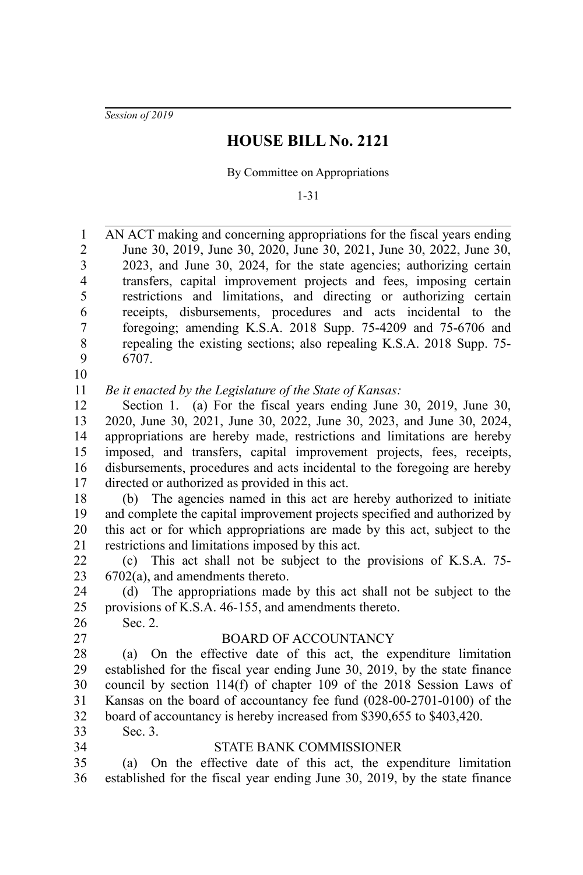*Session of 2019*

# **HOUSE BILL No. 2121**

By Committee on Appropriations

1-31

AN ACT making and concerning appropriations for the fiscal years ending June 30, 2019, June 30, 2020, June 30, 2021, June 30, 2022, June 30, 2023, and June 30, 2024, for the state agencies; authorizing certain transfers, capital improvement projects and fees, imposing certain restrictions and limitations, and directing or authorizing certain receipts, disbursements, procedures and acts incidental to the foregoing; amending K.S.A. 2018 Supp. 75-4209 and 75-6706 and repealing the existing sections; also repealing K.S.A. 2018 Supp. 75- 6707. 1 2 3 4 5 6 7 8 9

10

*Be it enacted by the Legislature of the State of Kansas:* 11

Section 1. (a) For the fiscal years ending June 30, 2019, June 30, 2020, June 30, 2021, June 30, 2022, June 30, 2023, and June 30, 2024, appropriations are hereby made, restrictions and limitations are hereby imposed, and transfers, capital improvement projects, fees, receipts, disbursements, procedures and acts incidental to the foregoing are hereby directed or authorized as provided in this act. 12 13 14 15 16 17

(b) The agencies named in this act are hereby authorized to initiate and complete the capital improvement projects specified and authorized by this act or for which appropriations are made by this act, subject to the restrictions and limitations imposed by this act. 18 19 20 21

(c) This act shall not be subject to the provisions of K.S.A. 75- 6702(a), and amendments thereto. 22 23

(d) The appropriations made by this act shall not be subject to the provisions of K.S.A. 46-155, and amendments thereto. 24 25

- Sec. 2. 26
- 27

### BOARD OF ACCOUNTANCY

(a) On the effective date of this act, the expenditure limitation established for the fiscal year ending June 30, 2019, by the state finance council by section 114(f) of chapter 109 of the 2018 Session Laws of Kansas on the board of accountancy fee fund (028-00-2701-0100) of the board of accountancy is hereby increased from \$390,655 to \$403,420. 28 29 30 31 32

33 34 Sec. 3.

### STATE BANK COMMISSIONER

(a) On the effective date of this act, the expenditure limitation established for the fiscal year ending June 30, 2019, by the state finance 35 36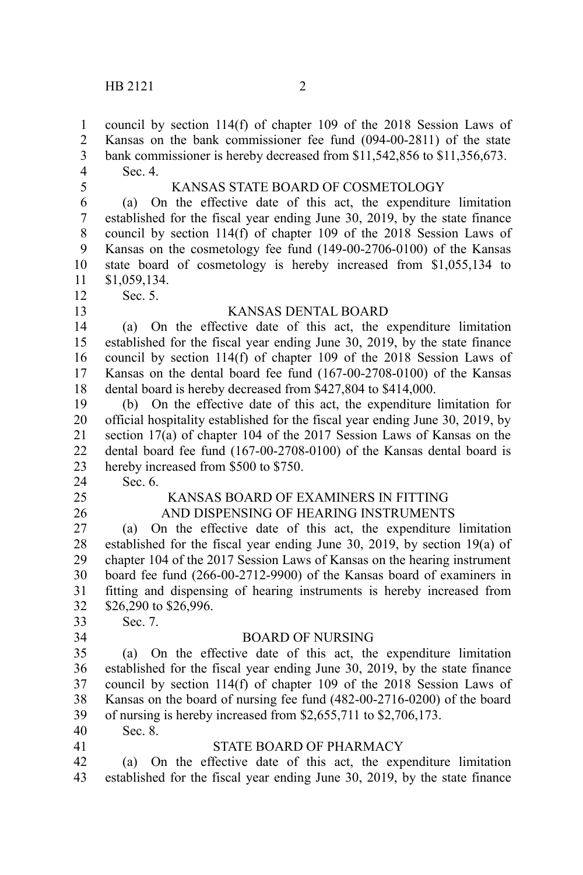council by section 114(f) of chapter 109 of the 2018 Session Laws of Kansas on the bank commissioner fee fund (094-00-2811) of the state bank commissioner is hereby decreased from \$11,542,856 to \$11,356,673. Sec. 4. KANSAS STATE BOARD OF COSMETOLOGY (a) On the effective date of this act, the expenditure limitation established for the fiscal year ending June 30, 2019, by the state finance council by section 114(f) of chapter 109 of the 2018 Session Laws of Kansas on the cosmetology fee fund (149-00-2706-0100) of the Kansas state board of cosmetology is hereby increased from \$1,055,134 to \$1,059,134. Sec. 5. KANSAS DENTAL BOARD (a) On the effective date of this act, the expenditure limitation established for the fiscal year ending June 30, 2019, by the state finance council by section 114(f) of chapter 109 of the 2018 Session Laws of Kansas on the dental board fee fund (167-00-2708-0100) of the Kansas dental board is hereby decreased from \$427,804 to \$414,000. (b) On the effective date of this act, the expenditure limitation for official hospitality established for the fiscal year ending June 30, 2019, by section 17(a) of chapter 104 of the 2017 Session Laws of Kansas on the dental board fee fund (167-00-2708-0100) of the Kansas dental board is hereby increased from \$500 to \$750. Sec. 6. KANSAS BOARD OF EXAMINERS IN FITTING AND DISPENSING OF HEARING INSTRUMENTS (a) On the effective date of this act, the expenditure limitation established for the fiscal year ending June 30, 2019, by section 19(a) of chapter 104 of the 2017 Session Laws of Kansas on the hearing instrument board fee fund (266-00-2712-9900) of the Kansas board of examiners in fitting and dispensing of hearing instruments is hereby increased from \$26,290 to \$26,996. Sec. 7. BOARD OF NURSING (a) On the effective date of this act, the expenditure limitation established for the fiscal year ending June 30, 2019, by the state finance council by section 114(f) of chapter 109 of the 2018 Session Laws of Kansas on the board of nursing fee fund (482-00-2716-0200) of the board of nursing is hereby increased from \$2,655,711 to \$2,706,173. Sec. 8. STATE BOARD OF PHARMACY (a) On the effective date of this act, the expenditure limitation established for the fiscal year ending June 30, 2019, by the state finance 1 2 3 4 5 6 7 8 9 10 11 12 13 14 15 16 17 18 19 20 21 22 23 24 25 26 27 28 29 30 31 32 33 34 35 36 37 38 39 40 41 42 43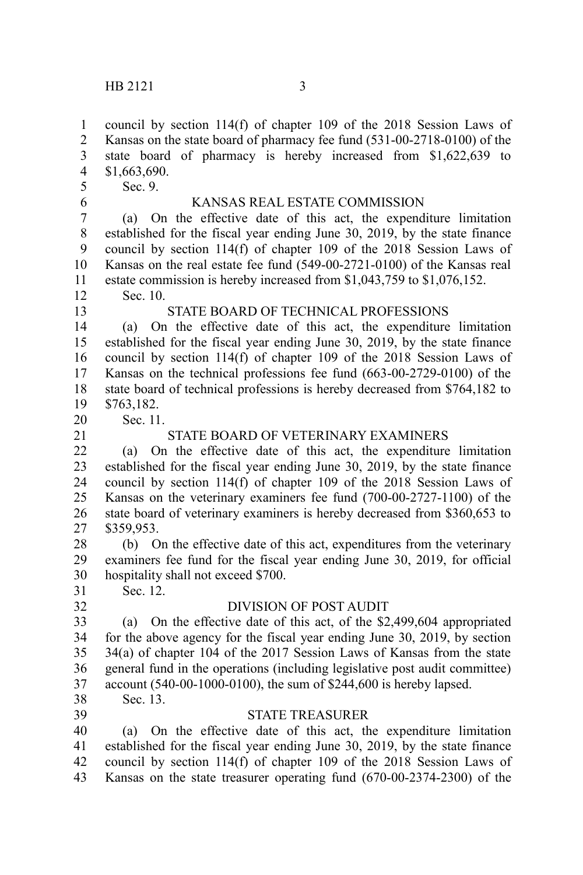council by section 114(f) of chapter 109 of the 2018 Session Laws of Kansas on the state board of pharmacy fee fund (531-00-2718-0100) of the state board of pharmacy is hereby increased from \$1,622,639 to \$1,663,690. Sec. 9. KANSAS REAL ESTATE COMMISSION (a) On the effective date of this act, the expenditure limitation established for the fiscal year ending June 30, 2019, by the state finance council by section 114(f) of chapter 109 of the 2018 Session Laws of Kansas on the real estate fee fund (549-00-2721-0100) of the Kansas real 1 2 3 4 5 6 7 8 9 10

estate commission is hereby increased from \$1,043,759 to \$1,076,152. 11

Sec. 10. 12

# STATE BOARD OF TECHNICAL PROFESSIONS

(a) On the effective date of this act, the expenditure limitation established for the fiscal year ending June 30, 2019, by the state finance council by section 114(f) of chapter 109 of the 2018 Session Laws of Kansas on the technical professions fee fund (663-00-2729-0100) of the state board of technical professions is hereby decreased from \$764,182 to \$763,182. 14 15 16 17 18 19

20

Sec. 11.

21

32

13

# STATE BOARD OF VETERINARY EXAMINERS

(a) On the effective date of this act, the expenditure limitation established for the fiscal year ending June 30, 2019, by the state finance council by section 114(f) of chapter 109 of the 2018 Session Laws of Kansas on the veterinary examiners fee fund (700-00-2727-1100) of the state board of veterinary examiners is hereby decreased from \$360,653 to \$359,953. 22 23  $24$ 25 26 27

(b) On the effective date of this act, expenditures from the veterinary examiners fee fund for the fiscal year ending June 30, 2019, for official hospitality shall not exceed \$700. 28 29 30

Sec. 12. 31

# DIVISION OF POST AUDIT

(a) On the effective date of this act, of the \$2,499,604 appropriated for the above agency for the fiscal year ending June 30, 2019, by section 34(a) of chapter 104 of the 2017 Session Laws of Kansas from the state general fund in the operations (including legislative post audit committee) account (540-00-1000-0100), the sum of \$244,600 is hereby lapsed. Sec. 13. 33 34 35 36 37

38 39

### STATE TREASURER

(a) On the effective date of this act, the expenditure limitation established for the fiscal year ending June 30, 2019, by the state finance council by section 114(f) of chapter 109 of the 2018 Session Laws of Kansas on the state treasurer operating fund (670-00-2374-2300) of the 40 41 42 43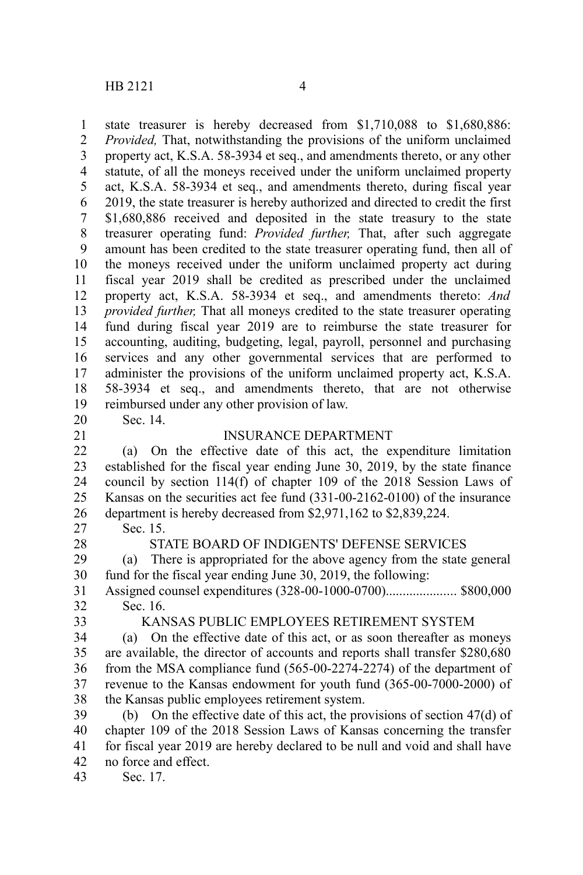state treasurer is hereby decreased from \$1,710,088 to \$1,680,886: *Provided,* That, notwithstanding the provisions of the uniform unclaimed property act, K.S.A. 58-3934 et seq., and amendments thereto, or any other statute, of all the moneys received under the uniform unclaimed property act, K.S.A. 58-3934 et seq., and amendments thereto, during fiscal year 2019, the state treasurer is hereby authorized and directed to credit the first \$1,680,886 received and deposited in the state treasury to the state treasurer operating fund: *Provided further,* That, after such aggregate amount has been credited to the state treasurer operating fund, then all of the moneys received under the uniform unclaimed property act during fiscal year 2019 shall be credited as prescribed under the unclaimed property act, K.S.A. 58-3934 et seq., and amendments thereto: *And provided further,* That all moneys credited to the state treasurer operating fund during fiscal year 2019 are to reimburse the state treasurer for accounting, auditing, budgeting, legal, payroll, personnel and purchasing services and any other governmental services that are performed to administer the provisions of the uniform unclaimed property act, K.S.A. 58-3934 et seq., and amendments thereto, that are not otherwise reimbursed under any other provision of law. Sec. 14. 1 2 3 4 5 6 7 8 9 10 11 12 13 14 15 16 17 18 19 20

- 
- 21

#### INSURANCE DEPARTMENT

(a) On the effective date of this act, the expenditure limitation established for the fiscal year ending June 30, 2019, by the state finance council by section 114(f) of chapter 109 of the 2018 Session Laws of Kansas on the securities act fee fund (331-00-2162-0100) of the insurance department is hereby decreased from \$2,971,162 to \$2,839,224. 22 23 24 25 26

Sec. 15. 27

28

#### STATE BOARD OF INDIGENTS' DEFENSE SERVICES

(a) There is appropriated for the above agency from the state general fund for the fiscal year ending June 30, 2019, the following: 29 30

Assigned counsel expenditures (328-00-1000-0700)..................... \$800,000 Sec. 16. 31 32

33

#### KANSAS PUBLIC EMPLOYEES RETIREMENT SYSTEM

(a) On the effective date of this act, or as soon thereafter as moneys are available, the director of accounts and reports shall transfer \$280,680 from the MSA compliance fund (565-00-2274-2274) of the department of revenue to the Kansas endowment for youth fund (365-00-7000-2000) of the Kansas public employees retirement system. 34 35 36 37 38

(b) On the effective date of this act, the provisions of section 47(d) of chapter 109 of the 2018 Session Laws of Kansas concerning the transfer for fiscal year 2019 are hereby declared to be null and void and shall have no force and effect. 39 40 41 42

Sec. 17. 43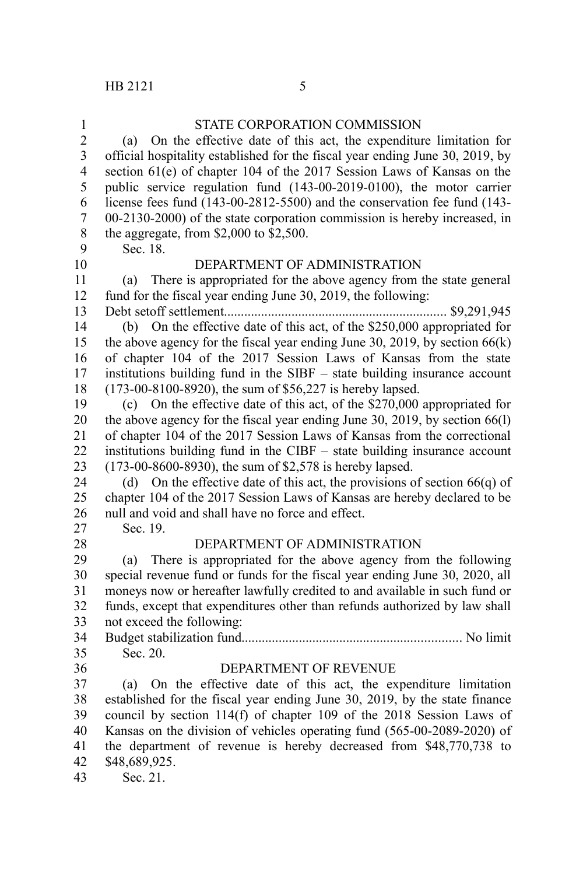| 1                       | STATE CORPORATION COMMISSION                                                   |
|-------------------------|--------------------------------------------------------------------------------|
| $\overline{c}$          | (a) On the effective date of this act, the expenditure limitation for          |
| $\overline{\mathbf{3}}$ | official hospitality established for the fiscal year ending June 30, 2019, by  |
| $\overline{4}$          | section 61(e) of chapter 104 of the 2017 Session Laws of Kansas on the         |
| 5                       | public service regulation fund (143-00-2019-0100), the motor carrier           |
| 6                       | license fees fund (143-00-2812-5500) and the conservation fee fund (143-       |
| $\boldsymbol{7}$        | 00-2130-2000) of the state corporation commission is hereby increased, in      |
| 8                       | the aggregate, from $$2,000$ to $$2,500$ .                                     |
| 9                       | Sec. 18.                                                                       |
| 10                      | DEPARTMENT OF ADMINISTRATION                                                   |
| 11                      | There is appropriated for the above agency from the state general<br>(a)       |
| 12                      | fund for the fiscal year ending June 30, 2019, the following:                  |
| 13                      | $\ldots$ \$9,291,945                                                           |
| 14                      | (b) On the effective date of this act, of the \$250,000 appropriated for       |
| 15                      | the above agency for the fiscal year ending June 30, 2019, by section $66(k)$  |
| 16                      | of chapter 104 of the 2017 Session Laws of Kansas from the state               |
| 17                      | institutions building fund in the SIBF – state building insurance account      |
| 18                      | (173-00-8100-8920), the sum of \$56,227 is hereby lapsed.                      |
| 19                      | (c) On the effective date of this act, of the $$270,000$ appropriated for      |
| 20                      | the above agency for the fiscal year ending June 30, 2019, by section $66(1)$  |
| 21                      | of chapter 104 of the 2017 Session Laws of Kansas from the correctional        |
| 22                      | institutions building fund in the CIBF – state building insurance account      |
| 23                      | (173-00-8600-8930), the sum of \$2,578 is hereby lapsed.                       |
| 24                      | On the effective date of this act, the provisions of section $66(q)$ of<br>(d) |
| 25                      | chapter 104 of the 2017 Session Laws of Kansas are hereby declared to be       |
| 26                      | null and void and shall have no force and effect.                              |
| 27                      | Sec. 19.                                                                       |
| 28                      | DEPARTMENT OF ADMINISTRATION                                                   |
| 29                      | There is appropriated for the above agency from the following<br>(a)           |
| 30                      | special revenue fund or funds for the fiscal year ending June 30, 2020, all    |
| 31                      | moneys now or hereafter lawfully credited to and available in such fund or     |
| 32                      | funds, except that expenditures other than refunds authorized by law shall     |
| 33                      | not exceed the following:                                                      |
| 34                      |                                                                                |
| 35                      | Sec. 20.                                                                       |
| 36                      | DEPARTMENT OF REVENUE                                                          |
| 37                      | On the effective date of this act, the expenditure limitation<br>(a)           |
| 38                      | established for the fiscal year ending June 30, 2019, by the state finance     |
| 39                      | council by section 114(f) of chapter 109 of the 2018 Session Laws of           |
| 40                      | Kansas on the division of vehicles operating fund (565-00-2089-2020) of        |
| 41                      | the department of revenue is hereby decreased from \$48,770,738 to             |
| 42                      | \$48,689,925.                                                                  |
| 43                      | Sec. 21.                                                                       |
|                         |                                                                                |
|                         |                                                                                |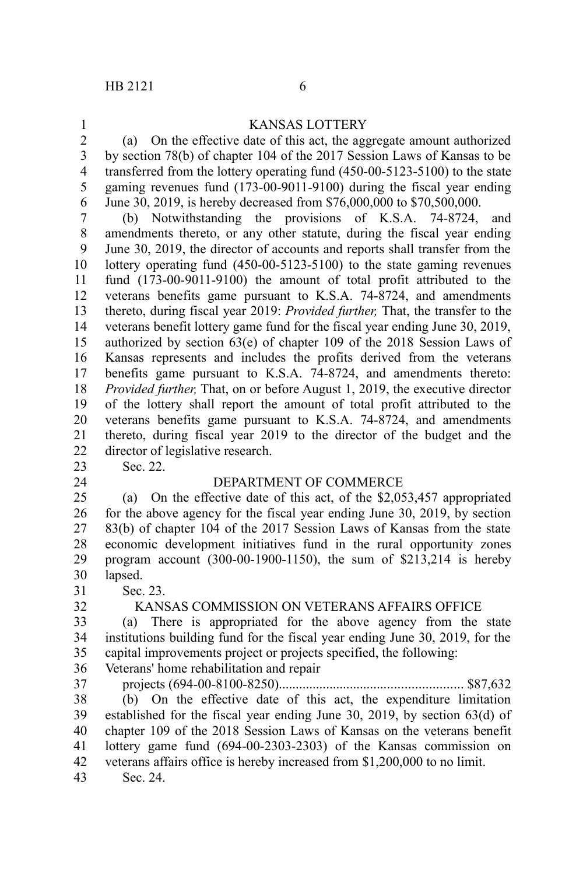1

## KANSAS LOTTERY

(a) On the effective date of this act, the aggregate amount authorized by section 78(b) of chapter 104 of the 2017 Session Laws of Kansas to be transferred from the lottery operating fund (450-00-5123-5100) to the state gaming revenues fund (173-00-9011-9100) during the fiscal year ending June 30, 2019, is hereby decreased from \$76,000,000 to \$70,500,000. 2 3 4 5 6

(b) Notwithstanding the provisions of K.S.A. 74-8724, and amendments thereto, or any other statute, during the fiscal year ending June 30, 2019, the director of accounts and reports shall transfer from the lottery operating fund (450-00-5123-5100) to the state gaming revenues fund (173-00-9011-9100) the amount of total profit attributed to the veterans benefits game pursuant to K.S.A. 74-8724, and amendments thereto, during fiscal year 2019: *Provided further,* That, the transfer to the veterans benefit lottery game fund for the fiscal year ending June 30, 2019, authorized by section 63(e) of chapter 109 of the 2018 Session Laws of Kansas represents and includes the profits derived from the veterans benefits game pursuant to K.S.A. 74-8724, and amendments thereto: *Provided further,* That, on or before August 1, 2019, the executive director of the lottery shall report the amount of total profit attributed to the veterans benefits game pursuant to K.S.A. 74-8724, and amendments thereto, during fiscal year 2019 to the director of the budget and the director of legislative research. 7 8 9 10 11 12 13 14 15 16 17 18 19 20 21 22 23

Sec. 22.

24

31 32

#### DEPARTMENT OF COMMERCE

(a) On the effective date of this act, of the \$2,053,457 appropriated for the above agency for the fiscal year ending June 30, 2019, by section 83(b) of chapter 104 of the 2017 Session Laws of Kansas from the state economic development initiatives fund in the rural opportunity zones program account (300-00-1900-1150), the sum of \$213,214 is hereby lapsed. 25 26 27 28 29 30

Sec. 23.

### KANSAS COMMISSION ON VETERANS AFFAIRS OFFICE

(a) There is appropriated for the above agency from the state institutions building fund for the fiscal year ending June 30, 2019, for the capital improvements project or projects specified, the following: 33 34 35

- Veterans' home rehabilitation and repair 36
- 37

projects (694-00-8100-8250)...................................................... \$87,632

(b) On the effective date of this act, the expenditure limitation established for the fiscal year ending June 30, 2019, by section 63(d) of chapter 109 of the 2018 Session Laws of Kansas on the veterans benefit lottery game fund (694-00-2303-2303) of the Kansas commission on veterans affairs office is hereby increased from \$1,200,000 to no limit. Sec. 24. 38 39 40 41 42 43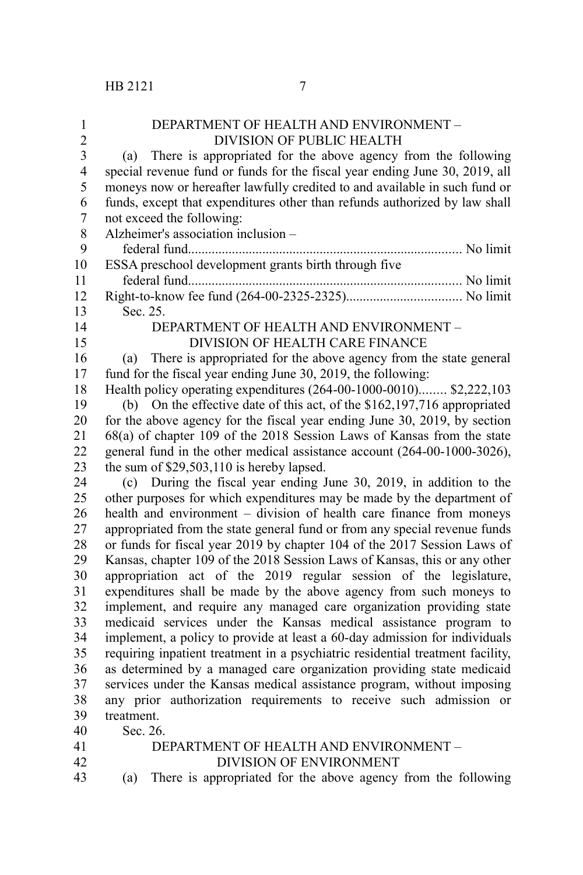| $\mathbf{1}$   | DEPARTMENT OF HEALTH AND ENVIRONMENT -                                         |
|----------------|--------------------------------------------------------------------------------|
| $\overline{2}$ | <b>DIVISION OF PUBLIC HEALTH</b>                                               |
| 3              | There is appropriated for the above agency from the following<br>(a)           |
| $\overline{4}$ | special revenue fund or funds for the fiscal year ending June 30, 2019, all    |
| 5              | moneys now or hereafter lawfully credited to and available in such fund or     |
| 6              | funds, except that expenditures other than refunds authorized by law shall     |
| 7              | not exceed the following:                                                      |
| 8              | Alzheimer's association inclusion -                                            |
| 9              |                                                                                |
| 10             | ESSA preschool development grants birth through five                           |
| 11             |                                                                                |
| 12             |                                                                                |
| 13             | Sec. 25.                                                                       |
| 14             | DEPARTMENT OF HEALTH AND ENVIRONMENT -                                         |
| 15             | DIVISION OF HEALTH CARE FINANCE                                                |
| 16             | There is appropriated for the above agency from the state general<br>(a)       |
| 17             | fund for the fiscal year ending June 30, 2019, the following:                  |
| 18             | Health policy operating expenditures (264-00-1000-0010) \$2,222,103            |
| 19             | (b) On the effective date of this act, of the \$162,197,716 appropriated       |
| 20             | for the above agency for the fiscal year ending June 30, 2019, by section      |
| 21             | 68(a) of chapter 109 of the 2018 Session Laws of Kansas from the state         |
| 22             | general fund in the other medical assistance account (264-00-1000-3026),       |
| 23             | the sum of \$29,503,110 is hereby lapsed.                                      |
| 24             | (c) During the fiscal year ending June 30, 2019, in addition to the            |
| 25             | other purposes for which expenditures may be made by the department of         |
| 26             | health and environment - division of health care finance from moneys           |
| 27             | appropriated from the state general fund or from any special revenue funds     |
| 28             | or funds for fiscal year 2019 by chapter 104 of the 2017 Session Laws of       |
| 29             | Kansas, chapter 109 of the 2018 Session Laws of Kansas, this or any other      |
| 30             | appropriation act of the 2019 regular session of the legislature,              |
| 31             | expenditures shall be made by the above agency from such moneys to             |
| 32             | implement, and require any managed care organization providing state           |
| 33             | medicaid services under the Kansas medical assistance program to               |
| 34             | implement, a policy to provide at least a 60-day admission for individuals     |
| 35             | requiring inpatient treatment in a psychiatric residential treatment facility, |
| 36             | as determined by a managed care organization providing state medicaid          |
| 37             | services under the Kansas medical assistance program, without imposing         |
| 38             | any prior authorization requirements to receive such admission or              |
| 39             | treatment.                                                                     |
| 40             | Sec. 26.                                                                       |
| 41             | DEPARTMENT OF HEALTH AND ENVIRONMENT -                                         |
| 42             | <b>DIVISION OF ENVIRONMENT</b>                                                 |

(a) There is appropriated for the above agency from the following 43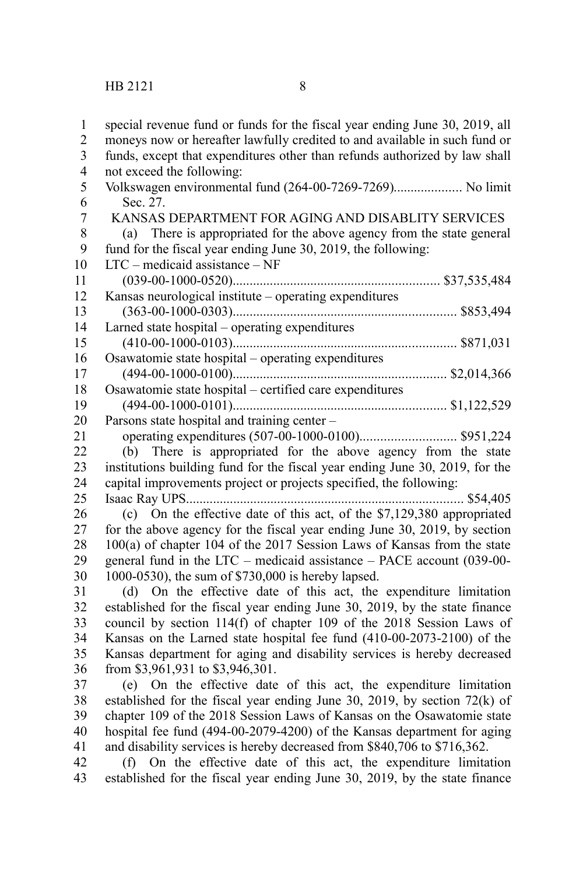| $\mathbf{1}$            | special revenue fund or funds for the fiscal year ending June 30, 2019, all  |
|-------------------------|------------------------------------------------------------------------------|
| $\overline{c}$          | moneys now or hereafter lawfully credited to and available in such fund or   |
| $\overline{\mathbf{3}}$ | funds, except that expenditures other than refunds authorized by law shall   |
| $\overline{\mathbf{4}}$ | not exceed the following:                                                    |
| 5                       | Volkswagen environmental fund (264-00-7269-7269) No limit                    |
| 6                       | Sec. 27.                                                                     |
| $\overline{7}$          | KANSAS DEPARTMENT FOR AGING AND DISABLITY SERVICES                           |
| 8                       | (a) There is appropriated for the above agency from the state general        |
| 9                       | fund for the fiscal year ending June 30, 2019, the following:                |
| 10                      | LTC - medicaid assistance - NF                                               |
| 11                      |                                                                              |
| 12                      | Kansas neurological institute - operating expenditures                       |
| 13                      |                                                                              |
| 14                      | Larned state hospital - operating expenditures                               |
| 15                      |                                                                              |
| 16                      | Osawatomie state hospital - operating expenditures                           |
| 17                      |                                                                              |
| 18                      | Osawatomie state hospital - certified care expenditures                      |
| 19                      |                                                                              |
| 20                      | Parsons state hospital and training center –                                 |
| 21                      |                                                                              |
| 22                      | (b) There is appropriated for the above agency from the state                |
| 23                      | institutions building fund for the fiscal year ending June 30, 2019, for the |
| 24                      | capital improvements project or projects specified, the following:           |
| 25                      |                                                                              |
| 26                      | (c) On the effective date of this act, of the \$7,129,380 appropriated       |
| 27                      | for the above agency for the fiscal year ending June 30, 2019, by section    |
| 28                      | 100(a) of chapter 104 of the 2017 Session Laws of Kansas from the state      |
| 29                      | general fund in the LTC - medicaid assistance - PACE account (039-00-        |
| 30                      | 1000-0530), the sum of \$730,000 is hereby lapsed.                           |
| 31                      | (d) On the effective date of this act, the expenditure limitation            |
| 32                      | established for the fiscal year ending June 30, 2019, by the state finance   |
| 33                      | council by section 114(f) of chapter 109 of the 2018 Session Laws of         |
| 34                      | Kansas on the Larned state hospital fee fund (410-00-2073-2100) of the       |
| 35                      | Kansas department for aging and disability services is hereby decreased      |
| 36                      | from \$3,961,931 to \$3,946,301.                                             |
| 37                      | (e) On the effective date of this act, the expenditure limitation            |
| 38                      | established for the fiscal year ending June 30, 2019, by section $72(k)$ of  |
| 39                      | chapter 109 of the 2018 Session Laws of Kansas on the Osawatomie state       |
| 40                      | hospital fee fund (494-00-2079-4200) of the Kansas department for aging      |
| 41                      | and disability services is hereby decreased from \$840,706 to \$716,362.     |
| 42                      | On the effective date of this act, the expenditure limitation<br>(f)         |
| 43                      | established for the fiscal year ending June 30, 2019, by the state finance   |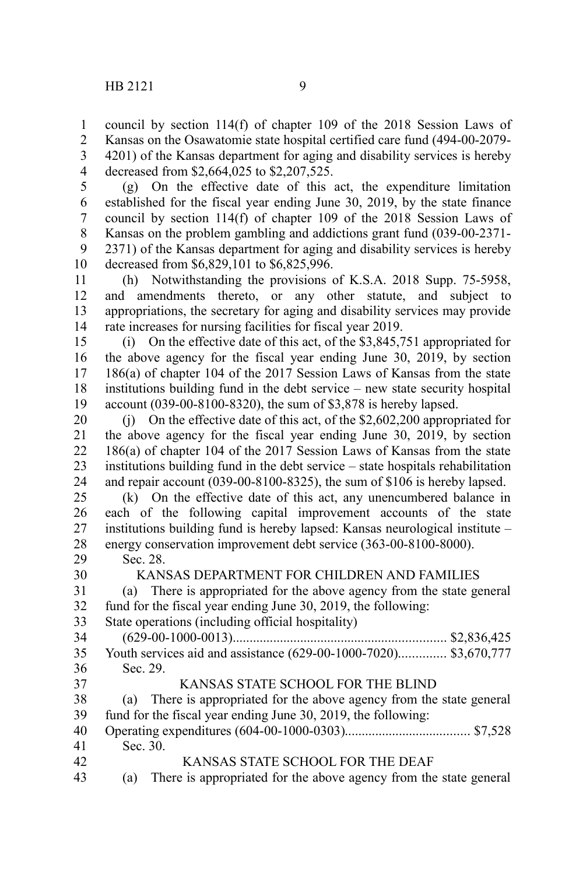1 2

decreased from \$2,664,025 to \$2,207,525. 4

(g) On the effective date of this act, the expenditure limitation established for the fiscal year ending June 30, 2019, by the state finance council by section 114(f) of chapter 109 of the 2018 Session Laws of Kansas on the problem gambling and addictions grant fund (039-00-2371- 2371) of the Kansas department for aging and disability services is hereby decreased from \$6,829,101 to \$6,825,996. 5 6 7 8 9 10

(h) Notwithstanding the provisions of K.S.A. 2018 Supp. 75-5958, and amendments thereto, or any other statute, and subject to appropriations, the secretary for aging and disability services may provide rate increases for nursing facilities for fiscal year 2019. 11 12 13 14

(i) On the effective date of this act, of the \$3,845,751 appropriated for the above agency for the fiscal year ending June 30, 2019, by section 186(a) of chapter 104 of the 2017 Session Laws of Kansas from the state institutions building fund in the debt service – new state security hospital account (039-00-8100-8320), the sum of \$3,878 is hereby lapsed. 15 16 17 18 19

(j) On the effective date of this act, of the \$2,602,200 appropriated for the above agency for the fiscal year ending June 30, 2019, by section 186(a) of chapter 104 of the 2017 Session Laws of Kansas from the state institutions building fund in the debt service – state hospitals rehabilitation and repair account (039-00-8100-8325), the sum of \$106 is hereby lapsed. 20 21 22 23 24

(k) On the effective date of this act, any unencumbered balance in each of the following capital improvement accounts of the state institutions building fund is hereby lapsed: Kansas neurological institute – energy conservation improvement debt service (363-00-8100-8000). 25 26 27 28

Sec. 28. 29

30

42

# KANSAS DEPARTMENT FOR CHILDREN AND FAMILIES

(a) There is appropriated for the above agency from the state general fund for the fiscal year ending June 30, 2019, the following: 31 32

State operations (including official hospitality) 33

|    | 35 Youth services aid and assistance (629-00-1000-7020) \$3,670,777 |
|----|---------------------------------------------------------------------|
| 36 | Sec. 29.                                                            |
| 37 | KANSAS STATE SCHOOL FOR THE BLIND                                   |

(a) There is appropriated for the above agency from the state general fund for the fiscal year ending June 30, 2019, the following: 38 39

Operating expenditures (604-00-1000-0303)..................................... \$7,528 Sec. 30. 40 41

KANSAS STATE SCHOOL FOR THE DEAF

(a) There is appropriated for the above agency from the state general 43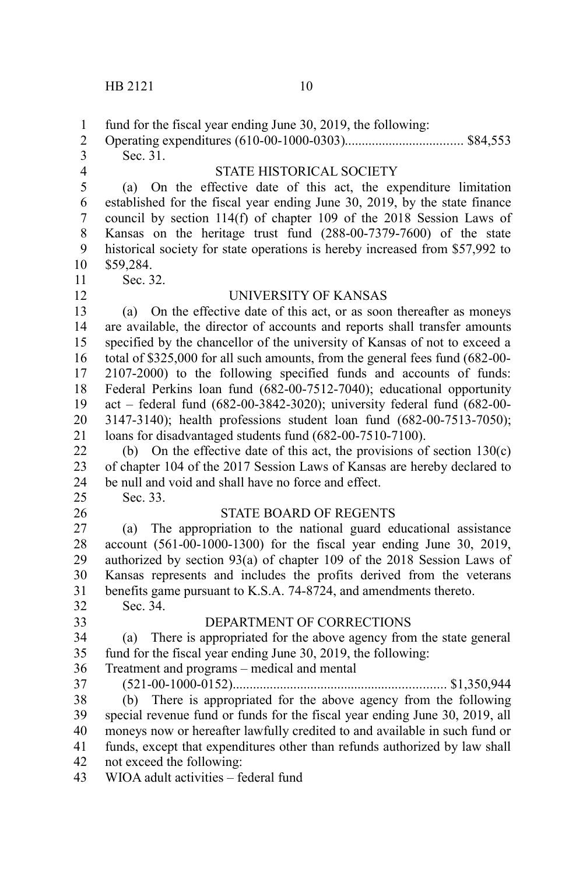fund for the fiscal year ending June 30, 2019, the following: Operating expenditures (610-00-1000-0303)................................... \$84,553 Sec. 31. STATE HISTORICAL SOCIETY (a) On the effective date of this act, the expenditure limitation established for the fiscal year ending June 30, 2019, by the state finance council by section 114(f) of chapter 109 of the 2018 Session Laws of Kansas on the heritage trust fund (288-00-7379-7600) of the state historical society for state operations is hereby increased from \$57,992 to \$59,284. Sec. 32. UNIVERSITY OF KANSAS (a) On the effective date of this act, or as soon thereafter as moneys are available, the director of accounts and reports shall transfer amounts specified by the chancellor of the university of Kansas of not to exceed a total of \$325,000 for all such amounts, from the general fees fund (682-00- 2107-2000) to the following specified funds and accounts of funds: Federal Perkins loan fund (682-00-7512-7040); educational opportunity act – federal fund (682-00-3842-3020); university federal fund (682-00- 3147-3140); health professions student loan fund (682-00-7513-7050); loans for disadvantaged students fund (682-00-7510-7100). (b) On the effective date of this act, the provisions of section 130(c) of chapter 104 of the 2017 Session Laws of Kansas are hereby declared to be null and void and shall have no force and effect. Sec. 33. STATE BOARD OF REGENTS (a) The appropriation to the national guard educational assistance account (561-00-1000-1300) for the fiscal year ending June 30, 2019, authorized by section 93(a) of chapter 109 of the 2018 Session Laws of Kansas represents and includes the profits derived from the veterans benefits game pursuant to K.S.A. 74-8724, and amendments thereto. Sec. 34. DEPARTMENT OF CORRECTIONS (a) There is appropriated for the above agency from the state general fund for the fiscal year ending June 30, 2019, the following: Treatment and programs – medical and mental (521-00-1000-0152)............................................................... \$1,350,944 (b) There is appropriated for the above agency from the following special revenue fund or funds for the fiscal year ending June 30, 2019, all moneys now or hereafter lawfully credited to and available in such fund or funds, except that expenditures other than refunds authorized by law shall not exceed the following: WIOA adult activities – federal fund 1 2 3 4 5 6 7 8 9 10 11 12 13 14 15 16 17 18 19 20 21 22 23 24 25 26 27 28 29 30 31 32 33 34 35 36 37 38 39 40 41 42 43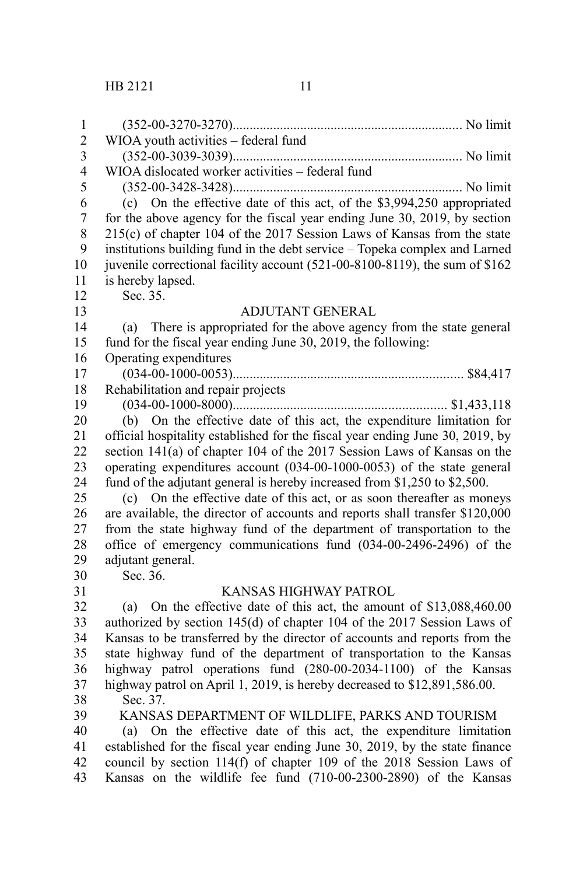| $\mathbf{1}$            |                                                                               |
|-------------------------|-------------------------------------------------------------------------------|
| $\overline{c}$          | WIOA youth activities - federal fund                                          |
| $\overline{\mathbf{3}}$ |                                                                               |
| $\overline{\mathbf{4}}$ | WIOA dislocated worker activities - federal fund                              |
| 5                       |                                                                               |
| 6                       | (c) On the effective date of this act, of the \$3,994,250 appropriated        |
| $\boldsymbol{7}$        | for the above agency for the fiscal year ending June 30, 2019, by section     |
| 8                       | 215(c) of chapter 104 of the 2017 Session Laws of Kansas from the state       |
| 9                       | institutions building fund in the debt service - Topeka complex and Larned    |
| 10                      | juvenile correctional facility account (521-00-8100-8119), the sum of \$162   |
| 11                      | is hereby lapsed.                                                             |
| 12                      | Sec. 35.                                                                      |
| 13                      | <b>ADJUTANT GENERAL</b>                                                       |
| 14                      | There is appropriated for the above agency from the state general<br>(a)      |
| 15                      | fund for the fiscal year ending June 30, 2019, the following:                 |
| 16                      | Operating expenditures                                                        |
| 17                      |                                                                               |
| 18                      | Rehabilitation and repair projects                                            |
| 19                      |                                                                               |
| 20                      | (b) On the effective date of this act, the expenditure limitation for         |
| 21                      | official hospitality established for the fiscal year ending June 30, 2019, by |
| 22                      | section 141(a) of chapter 104 of the 2017 Session Laws of Kansas on the       |
| 23                      | operating expenditures account (034-00-1000-0053) of the state general        |
| 24                      | fund of the adjutant general is hereby increased from \$1,250 to \$2,500.     |
| 25                      | (c) On the effective date of this act, or as soon thereafter as moneys        |
| 26                      | are available, the director of accounts and reports shall transfer \$120,000  |
| 27                      | from the state highway fund of the department of transportation to the        |
| 28                      | office of emergency communications fund (034-00-2496-2496) of the             |
| 29                      | adjutant general.                                                             |
| 30                      | Sec. 36.                                                                      |
| 31                      | KANSAS HIGHWAY PATROL                                                         |
| 32                      | (a) On the effective date of this act, the amount of \$13,088,460.00          |
| 33                      | authorized by section 145(d) of chapter 104 of the 2017 Session Laws of       |
| 34                      | Kansas to be transferred by the director of accounts and reports from the     |
| 35                      | state highway fund of the department of transportation to the Kansas          |
| 36                      | highway patrol operations fund (280-00-2034-1100) of the Kansas               |
| 37                      | highway patrol on April 1, 2019, is hereby decreased to \$12,891,586.00.      |
| 38                      | Sec. 37.                                                                      |
| 39                      | KANSAS DEPARTMENT OF WILDLIFE, PARKS AND TOURISM                              |
| 40                      | (a) On the effective date of this act, the expenditure limitation             |
| 41                      | established for the fiscal year ending June 30, 2019, by the state finance    |
| 42                      | council by section 114(f) of chapter 109 of the 2018 Session Laws of          |
| 43                      | Kansas on the wildlife fee fund (710-00-2300-2890) of the Kansas              |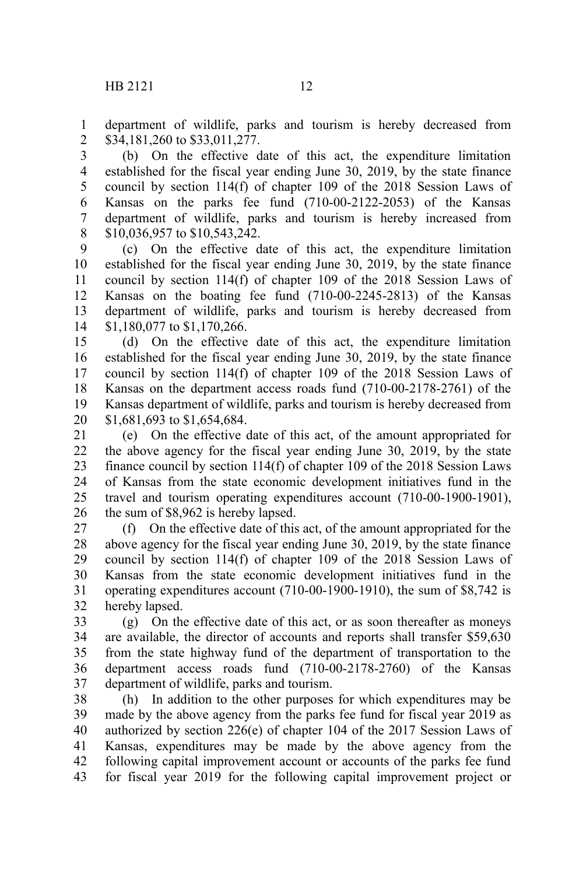department of wildlife, parks and tourism is hereby decreased from \$34,181,260 to \$33,011,277. 1 2

(b) On the effective date of this act, the expenditure limitation established for the fiscal year ending June 30, 2019, by the state finance council by section 114(f) of chapter 109 of the 2018 Session Laws of Kansas on the parks fee fund (710-00-2122-2053) of the Kansas department of wildlife, parks and tourism is hereby increased from \$10,036,957 to \$10,543,242. 3 4 5 6 7 8

(c) On the effective date of this act, the expenditure limitation established for the fiscal year ending June 30, 2019, by the state finance council by section 114(f) of chapter 109 of the 2018 Session Laws of Kansas on the boating fee fund (710-00-2245-2813) of the Kansas department of wildlife, parks and tourism is hereby decreased from \$1,180,077 to \$1,170,266. 9 10 11 12 13 14

(d) On the effective date of this act, the expenditure limitation established for the fiscal year ending June 30, 2019, by the state finance council by section 114(f) of chapter 109 of the 2018 Session Laws of Kansas on the department access roads fund (710-00-2178-2761) of the Kansas department of wildlife, parks and tourism is hereby decreased from \$1,681,693 to \$1,654,684. 15 16 17 18 19 20

(e) On the effective date of this act, of the amount appropriated for the above agency for the fiscal year ending June 30, 2019, by the state finance council by section 114(f) of chapter 109 of the 2018 Session Laws of Kansas from the state economic development initiatives fund in the travel and tourism operating expenditures account (710-00-1900-1901), the sum of \$8,962 is hereby lapsed. 21 22 23 24 25 26

(f) On the effective date of this act, of the amount appropriated for the above agency for the fiscal year ending June 30, 2019, by the state finance council by section 114(f) of chapter 109 of the 2018 Session Laws of Kansas from the state economic development initiatives fund in the operating expenditures account (710-00-1900-1910), the sum of \$8,742 is hereby lapsed. 27 28 29 30 31 32

(g) On the effective date of this act, or as soon thereafter as moneys are available, the director of accounts and reports shall transfer \$59,630 from the state highway fund of the department of transportation to the department access roads fund (710-00-2178-2760) of the Kansas department of wildlife, parks and tourism. 33 34 35 36 37

(h) In addition to the other purposes for which expenditures may be made by the above agency from the parks fee fund for fiscal year 2019 as authorized by section 226(e) of chapter 104 of the 2017 Session Laws of Kansas, expenditures may be made by the above agency from the following capital improvement account or accounts of the parks fee fund for fiscal year 2019 for the following capital improvement project or 38 39 40 41 42 43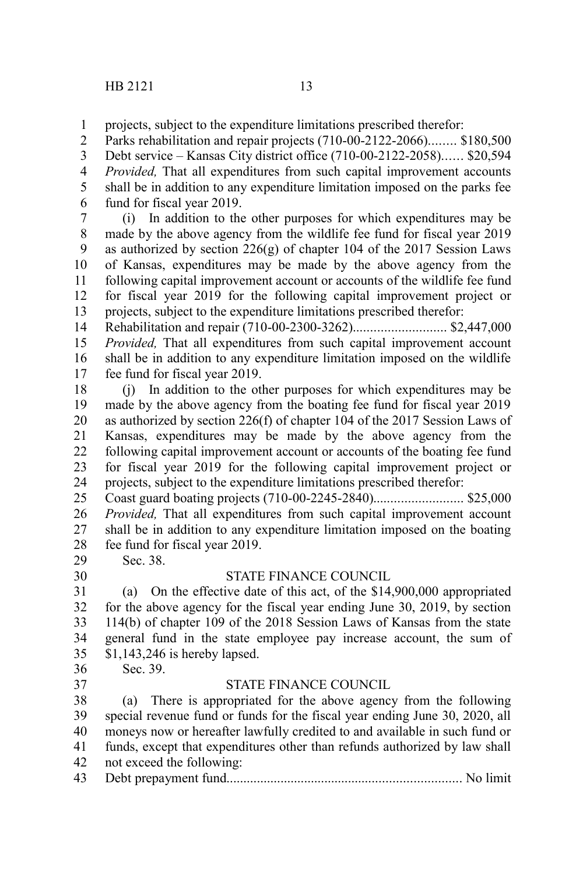projects, subject to the expenditure limitations prescribed therefor: 1

Parks rehabilitation and repair projects (710-00-2122-2066)........ \$180,500 Debt service – Kansas City district office (710-00-2122-2058)...... \$20,594 *Provided,* That all expenditures from such capital improvement accounts shall be in addition to any expenditure limitation imposed on the parks fee fund for fiscal year 2019. 2 3 4 5 6

(i) In addition to the other purposes for which expenditures may be made by the above agency from the wildlife fee fund for fiscal year 2019 as authorized by section  $226(g)$  of chapter 104 of the 2017 Session Laws of Kansas, expenditures may be made by the above agency from the following capital improvement account or accounts of the wildlife fee fund for fiscal year 2019 for the following capital improvement project or projects, subject to the expenditure limitations prescribed therefor: 7 8 9 10 11 12 13

Rehabilitation and repair (710-00-2300-3262)........................... \$2,447,000 *Provided,* That all expenditures from such capital improvement account shall be in addition to any expenditure limitation imposed on the wildlife fee fund for fiscal year 2019. 14 15 16 17

(j) In addition to the other purposes for which expenditures may be made by the above agency from the boating fee fund for fiscal year 2019 as authorized by section 226(f) of chapter 104 of the 2017 Session Laws of Kansas, expenditures may be made by the above agency from the following capital improvement account or accounts of the boating fee fund for fiscal year 2019 for the following capital improvement project or projects, subject to the expenditure limitations prescribed therefor: 18 19 20 21 22 23 24

Coast guard boating projects (710-00-2245-2840).......................... \$25,000 *Provided,* That all expenditures from such capital improvement account shall be in addition to any expenditure limitation imposed on the boating fee fund for fiscal year 2019. Sec. 38. 25 26 27 28

29 30

#### STATE FINANCE COUNCIL

(a) On the effective date of this act, of the \$14,900,000 appropriated for the above agency for the fiscal year ending June 30, 2019, by section 114(b) of chapter 109 of the 2018 Session Laws of Kansas from the state general fund in the state employee pay increase account, the sum of \$1,143,246 is hereby lapsed. 31 32 33 34 35

36 37 Sec. 39.

#### STATE FINANCE COUNCIL

(a) There is appropriated for the above agency from the following special revenue fund or funds for the fiscal year ending June 30, 2020, all moneys now or hereafter lawfully credited to and available in such fund or funds, except that expenditures other than refunds authorized by law shall not exceed the following: Debt prepayment fund..................................................................... No limit 38 39 40 41 42 43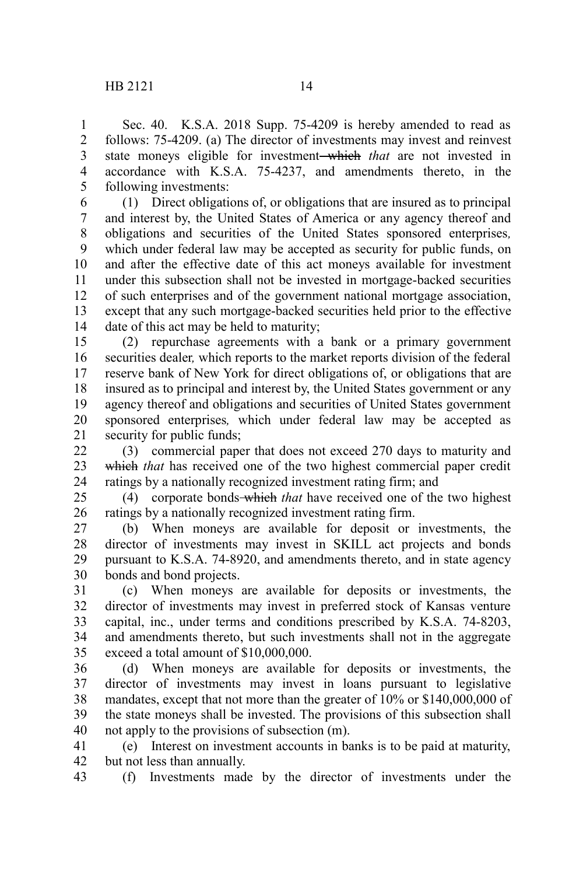Sec. 40. K.S.A. 2018 Supp. 75-4209 is hereby amended to read as follows: 75-4209. (a) The director of investments may invest and reinvest state moneys eligible for investment which *that* are not invested in accordance with K.S.A. 75-4237, and amendments thereto, in the following investments: 1 2 3 4 5

(1) Direct obligations of, or obligations that are insured as to principal and interest by, the United States of America or any agency thereof and obligations and securities of the United States sponsored enterprises*,* which under federal law may be accepted as security for public funds, on and after the effective date of this act moneys available for investment under this subsection shall not be invested in mortgage-backed securities of such enterprises and of the government national mortgage association, except that any such mortgage-backed securities held prior to the effective date of this act may be held to maturity; 6 7 8 9 10 11 12 13 14

(2) repurchase agreements with a bank or a primary government securities dealer*,* which reports to the market reports division of the federal reserve bank of New York for direct obligations of, or obligations that are insured as to principal and interest by, the United States government or any agency thereof and obligations and securities of United States government sponsored enterprises*,* which under federal law may be accepted as security for public funds; 15 16 17 18 19 20 21

(3) commercial paper that does not exceed 270 days to maturity and which *that* has received one of the two highest commercial paper credit ratings by a nationally recognized investment rating firm; and 22 23 24

(4) corporate bonds which *that* have received one of the two highest ratings by a nationally recognized investment rating firm. 25 26

(b) When moneys are available for deposit or investments, the director of investments may invest in SKILL act projects and bonds pursuant to K.S.A. 74-8920, and amendments thereto, and in state agency bonds and bond projects. 27 28 29 30

(c) When moneys are available for deposits or investments, the director of investments may invest in preferred stock of Kansas venture capital, inc., under terms and conditions prescribed by K.S.A. 74-8203, and amendments thereto, but such investments shall not in the aggregate exceed a total amount of \$10,000,000. 31 32 33 34 35

(d) When moneys are available for deposits or investments, the director of investments may invest in loans pursuant to legislative mandates, except that not more than the greater of 10% or \$140,000,000 of the state moneys shall be invested. The provisions of this subsection shall not apply to the provisions of subsection (m). 36 37 38 39 40

(e) Interest on investment accounts in banks is to be paid at maturity, but not less than annually. 41 42

(f) Investments made by the director of investments under the 43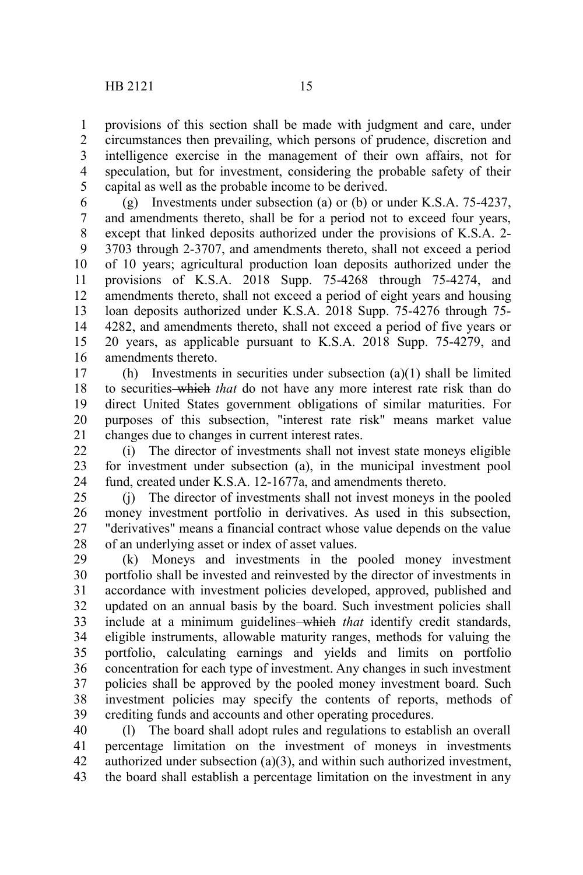provisions of this section shall be made with judgment and care, under circumstances then prevailing, which persons of prudence, discretion and intelligence exercise in the management of their own affairs, not for speculation, but for investment, considering the probable safety of their capital as well as the probable income to be derived. 1 2 3 4 5

(g) Investments under subsection (a) or (b) or under K.S.A. 75-4237, and amendments thereto, shall be for a period not to exceed four years, except that linked deposits authorized under the provisions of K.S.A. 2- 3703 through 2-3707, and amendments thereto, shall not exceed a period of 10 years; agricultural production loan deposits authorized under the provisions of K.S.A. 2018 Supp. 75-4268 through 75-4274, and amendments thereto, shall not exceed a period of eight years and housing loan deposits authorized under K.S.A. 2018 Supp. 75-4276 through 75- 4282, and amendments thereto, shall not exceed a period of five years or 20 years, as applicable pursuant to K.S.A. 2018 Supp. 75-4279, and amendments thereto. 6 7 8 9 10 11 12 13 14 15 16

(h) Investments in securities under subsection (a)(1) shall be limited to securities which *that* do not have any more interest rate risk than do direct United States government obligations of similar maturities. For purposes of this subsection, "interest rate risk" means market value changes due to changes in current interest rates. 17 18 19 20 21

(i) The director of investments shall not invest state moneys eligible for investment under subsection (a), in the municipal investment pool fund, created under K.S.A. 12-1677a, and amendments thereto.  $22$ 23 24

(j) The director of investments shall not invest moneys in the pooled money investment portfolio in derivatives. As used in this subsection, "derivatives" means a financial contract whose value depends on the value of an underlying asset or index of asset values. 25 26 27 28

(k) Moneys and investments in the pooled money investment portfolio shall be invested and reinvested by the director of investments in accordance with investment policies developed, approved, published and updated on an annual basis by the board. Such investment policies shall include at a minimum guidelines which *that* identify credit standards, eligible instruments, allowable maturity ranges, methods for valuing the portfolio, calculating earnings and yields and limits on portfolio concentration for each type of investment. Any changes in such investment policies shall be approved by the pooled money investment board. Such investment policies may specify the contents of reports, methods of crediting funds and accounts and other operating procedures. 29 30 31 32 33 34 35 36 37 38 39

(l) The board shall adopt rules and regulations to establish an overall percentage limitation on the investment of moneys in investments authorized under subsection (a)(3), and within such authorized investment, the board shall establish a percentage limitation on the investment in any 40 41 42 43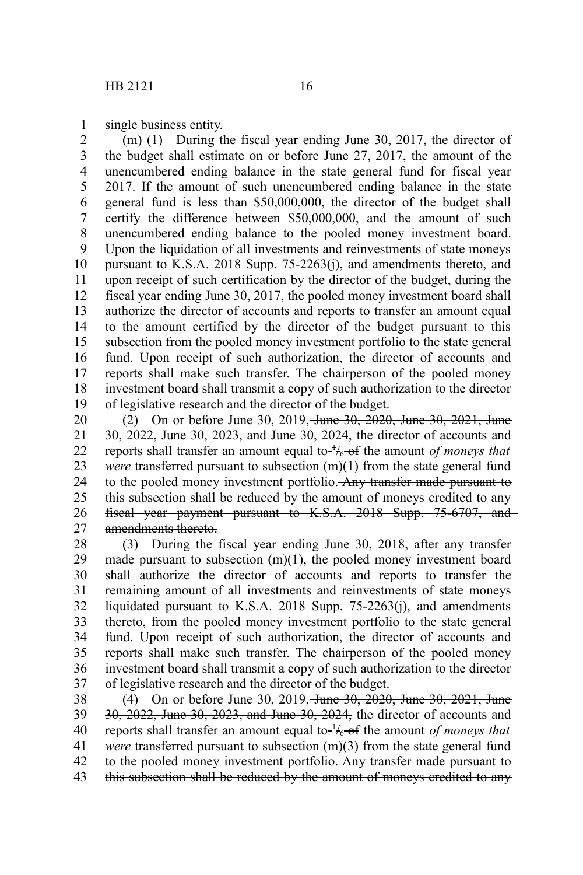single business entity. 1

(m) (1) During the fiscal year ending June 30, 2017, the director of the budget shall estimate on or before June 27, 2017, the amount of the unencumbered ending balance in the state general fund for fiscal year 2017. If the amount of such unencumbered ending balance in the state general fund is less than \$50,000,000, the director of the budget shall certify the difference between \$50,000,000, and the amount of such unencumbered ending balance to the pooled money investment board. Upon the liquidation of all investments and reinvestments of state moneys pursuant to K.S.A. 2018 Supp. 75-2263(j), and amendments thereto, and upon receipt of such certification by the director of the budget, during the fiscal year ending June 30, 2017, the pooled money investment board shall authorize the director of accounts and reports to transfer an amount equal to the amount certified by the director of the budget pursuant to this subsection from the pooled money investment portfolio to the state general fund. Upon receipt of such authorization, the director of accounts and reports shall make such transfer. The chairperson of the pooled money investment board shall transmit a copy of such authorization to the director of legislative research and the director of the budget. 2 3 4 5 6 7 8 9 10 11 12 13 14 15 16 17 18 19

(2) On or before June 30, 2019, June 30, 2020, June 30, 2021, June 30, 2022, June 30, 2023, and June 30, 2024, the director of accounts and reports shall transfer an amount equal to- $\frac{1}{6}$  of the amount *of moneys that were* transferred pursuant to subsection (m)(1) from the state general fund to the pooled money investment portfolio. Any transfer made pursuant to this subsection shall be reduced by the amount of moneys credited to any fiscal year payment pursuant to K.S.A. 2018 Supp. 75-6707, and amendments thereto. 20 21 22 23 24 25 26 27

(3) During the fiscal year ending June 30, 2018, after any transfer made pursuant to subsection (m)(1), the pooled money investment board shall authorize the director of accounts and reports to transfer the remaining amount of all investments and reinvestments of state moneys liquidated pursuant to K.S.A. 2018 Supp. 75-2263(j), and amendments thereto, from the pooled money investment portfolio to the state general fund. Upon receipt of such authorization, the director of accounts and reports shall make such transfer. The chairperson of the pooled money investment board shall transmit a copy of such authorization to the director of legislative research and the director of the budget. 28 29 30 31 32 33 34 35 36 37

(4) On or before June 30, 2019, June 30, 2020, June 30, 2021, June 30, 2022, June 30, 2023, and June 30, 2024, the director of accounts and reports shall transfer an amount equal to- $\frac{1}{6}$  of the amount *of moneys that were* transferred pursuant to subsection (m)(3) from the state general fund to the pooled money investment portfolio. Any transfer made pursuant to this subsection shall be reduced by the amount of moneys credited to any 38 39 40 41 42 43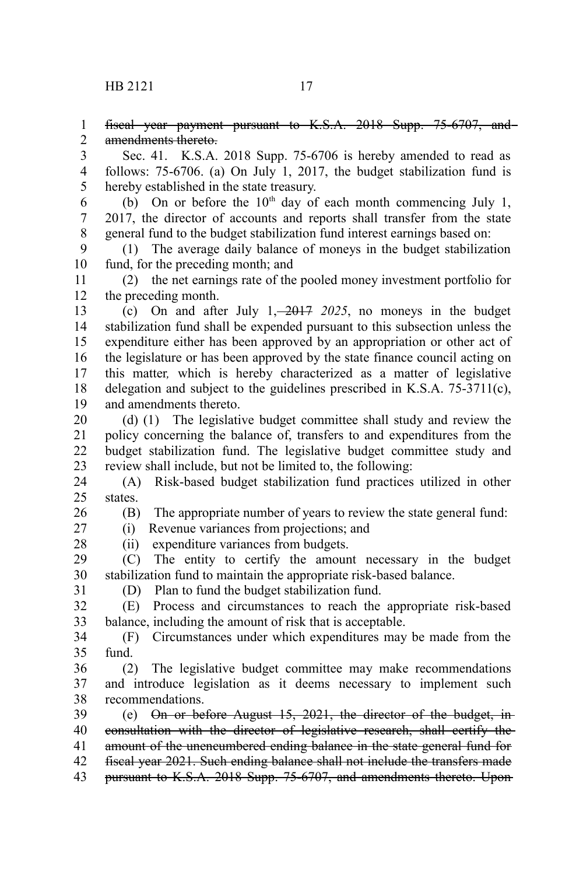fiscal year payment pursuant to K.S.A. 2018 Supp. 75-6707, and amendments thereto. 1 2

Sec. 41. K.S.A. 2018 Supp. 75-6706 is hereby amended to read as follows: 75-6706. (a) On July 1, 2017, the budget stabilization fund is hereby established in the state treasury. 3 4 5

(b) On or before the  $10<sup>th</sup>$  day of each month commencing July 1, 2017, the director of accounts and reports shall transfer from the state general fund to the budget stabilization fund interest earnings based on: 6 7 8

(1) The average daily balance of moneys in the budget stabilization fund, for the preceding month; and 9 10

(2) the net earnings rate of the pooled money investment portfolio for the preceding month. 11 12

(c) On and after July 1, 2017 *2025*, no moneys in the budget stabilization fund shall be expended pursuant to this subsection unless the expenditure either has been approved by an appropriation or other act of the legislature or has been approved by the state finance council acting on this matter*,* which is hereby characterized as a matter of legislative delegation and subject to the guidelines prescribed in K.S.A. 75-3711(c), and amendments thereto. 13 14 15 16 17 18 19

(d) (1) The legislative budget committee shall study and review the policy concerning the balance of, transfers to and expenditures from the budget stabilization fund. The legislative budget committee study and review shall include, but not be limited to, the following: 20 21 22 23

(A) Risk-based budget stabilization fund practices utilized in other states. 24 25

26 27

(B) The appropriate number of years to review the state general fund:

(i) Revenue variances from projections; and (ii) expenditure variances from budgets.

28

(C) The entity to certify the amount necessary in the budget stabilization fund to maintain the appropriate risk-based balance. 29 30

31

(D) Plan to fund the budget stabilization fund.

(E) Process and circumstances to reach the appropriate risk-based balance, including the amount of risk that is acceptable. 32 33

(F) Circumstances under which expenditures may be made from the fund. 34 35

(2) The legislative budget committee may make recommendations and introduce legislation as it deems necessary to implement such recommendations. 36 37 38

(e) On or before August 15, 2021, the director of the budget, in consultation with the director of legislative research, shall certify the amount of the unencumbered ending balance in the state general fund for fiscal year 2021. Such ending balance shall not include the transfers made pursuant to K.S.A. 2018 Supp. 75-6707, and amendments thereto. Upon 39 40 41 42 43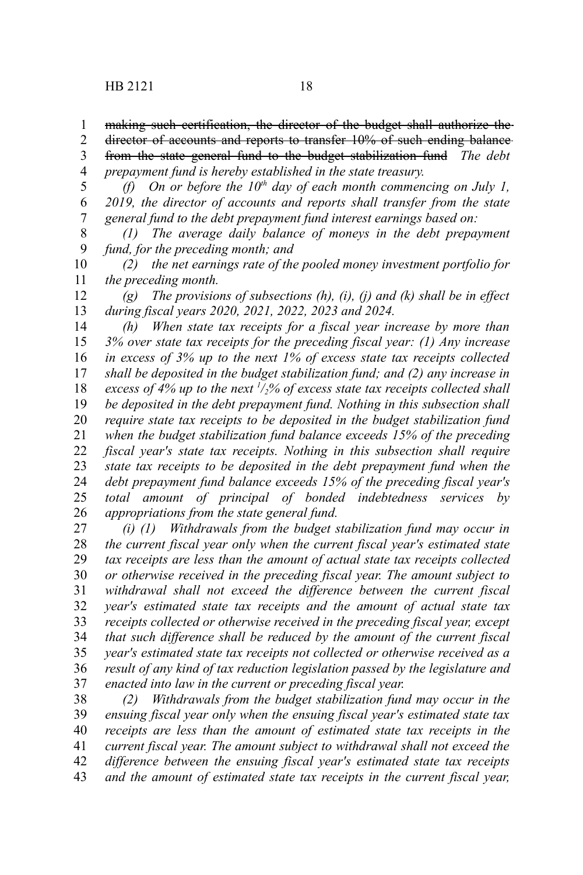director of accounts and reports to transfer 10% of such ending balance 2

from the state general fund to the budget stabilization fund *The debt prepayment fund is hereby established in the state treasury.* 3 4

*(f) On or before the 10th day of each month commencing on July 1, 2019, the director of accounts and reports shall transfer from the state general fund to the debt prepayment fund interest earnings based on:* 5 6 7

*(1) The average daily balance of moneys in the debt prepayment fund, for the preceding month; and* 8 9

*(2) the net earnings rate of the pooled money investment portfolio for the preceding month.* 10 11

*(g) The provisions of subsections (h), (i), (j) and (k) shall be in effect during fiscal years 2020, 2021, 2022, 2023 and 2024.* 12 13

*(h) When state tax receipts for a fiscal year increase by more than 3% over state tax receipts for the preceding fiscal year: (1) Any increase in excess of 3% up to the next 1% of excess state tax receipts collected shall be deposited in the budget stabilization fund; and (2) any increase in excess of 4% up to the next <sup>1</sup> /2% of excess state tax receipts collected shall be deposited in the debt prepayment fund. Nothing in this subsection shall require state tax receipts to be deposited in the budget stabilization fund when the budget stabilization fund balance exceeds 15% of the preceding fiscal year's state tax receipts. Nothing in this subsection shall require state tax receipts to be deposited in the debt prepayment fund when the debt prepayment fund balance exceeds 15% of the preceding fiscal year's total amount of principal of bonded indebtedness services by appropriations from the state general fund.* 14 15 16 17 18 19 20 21 22 23 24 25 26

*(i) (1) Withdrawals from the budget stabilization fund may occur in the current fiscal year only when the current fiscal year's estimated state tax receipts are less than the amount of actual state tax receipts collected or otherwise received in the preceding fiscal year. The amount subject to withdrawal shall not exceed the difference between the current fiscal year's estimated state tax receipts and the amount of actual state tax receipts collected or otherwise received in the preceding fiscal year, except that such difference shall be reduced by the amount of the current fiscal year's estimated state tax receipts not collected or otherwise received as a result of any kind of tax reduction legislation passed by the legislature and enacted into law in the current or preceding fiscal year.* 27 28 29 30 31 32 33 34 35 36 37

*(2) Withdrawals from the budget stabilization fund may occur in the ensuing fiscal year only when the ensuing fiscal year's estimated state tax receipts are less than the amount of estimated state tax receipts in the current fiscal year. The amount subject to withdrawal shall not exceed the difference between the ensuing fiscal year's estimated state tax receipts and the amount of estimated state tax receipts in the current fiscal year,* 38 39 40 41 42 43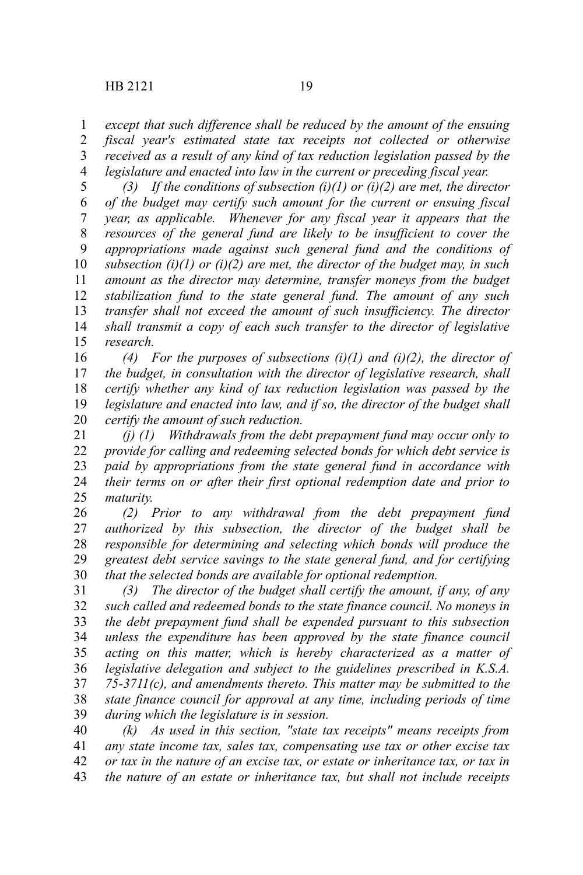*except that such difference shall be reduced by the amount of the ensuing* 1

*fiscal year's estimated state tax receipts not collected or otherwise received as a result of any kind of tax reduction legislation passed by the* 2 3

*legislature and enacted into law in the current or preceding fiscal year.* 4

*(3) If the conditions of subsection (i)(1) or (i)(2) are met, the director of the budget may certify such amount for the current or ensuing fiscal year, as applicable. Whenever for any fiscal year it appears that the resources of the general fund are likely to be insufficient to cover the appropriations made against such general fund and the conditions of subsection (i)(1) or (i)(2) are met, the director of the budget may, in such amount as the director may determine, transfer moneys from the budget stabilization fund to the state general fund. The amount of any such transfer shall not exceed the amount of such insufficiency. The director shall transmit a copy of each such transfer to the director of legislative research.* 5 6 7 8 9 10 11 12 13 14 15

*(4) For the purposes of subsections (i)(1) and (i)(2), the director of the budget, in consultation with the director of legislative research, shall certify whether any kind of tax reduction legislation was passed by the legislature and enacted into law, and if so, the director of the budget shall certify the amount of such reduction.* 16 17 18 19 20

*(j) (1) Withdrawals from the debt prepayment fund may occur only to provide for calling and redeeming selected bonds for which debt service is paid by appropriations from the state general fund in accordance with their terms on or after their first optional redemption date and prior to maturity.* 21 22 23 24 25

*(2) Prior to any withdrawal from the debt prepayment fund authorized by this subsection, the director of the budget shall be responsible for determining and selecting which bonds will produce the greatest debt service savings to the state general fund, and for certifying that the selected bonds are available for optional redemption.* 26 27 28 29 30

*(3) The director of the budget shall certify the amount, if any, of any such called and redeemed bonds to the state finance council. No moneys in the debt prepayment fund shall be expended pursuant to this subsection unless the expenditure has been approved by the state finance council acting on this matter, which is hereby characterized as a matter of legislative delegation and subject to the guidelines prescribed in K.S.A. 75-3711(c), and amendments thereto. This matter may be submitted to the state finance council for approval at any time, including periods of time during which the legislature is in session.* 31 32 33 34 35 36 37 38 39

*(k) As used in this section, "state tax receipts" means receipts from any state income tax, sales tax, compensating use tax or other excise tax or tax in the nature of an excise tax, or estate or inheritance tax, or tax in the nature of an estate or inheritance tax, but shall not include receipts* 40 41 42 43